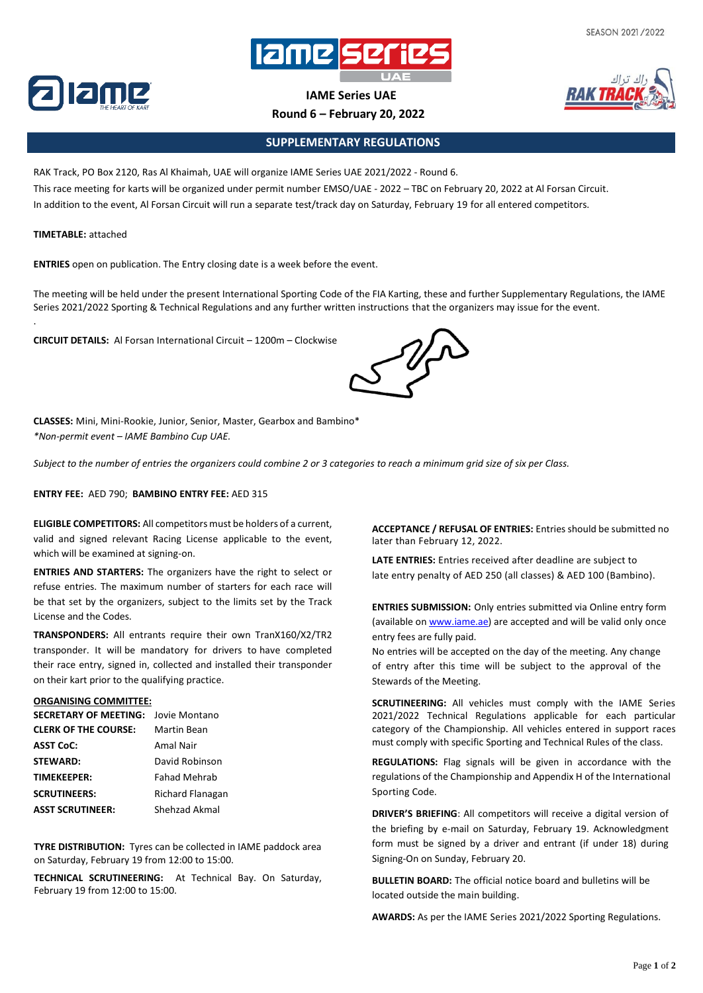



**IAME Series UAE**

**Round 6 – February 20, 2022**

## **SUPPLEMENTARY REGULATIONS**

RAK Track, PO Box 2120, Ras Al Khaimah, UAE will organize IAME Series UAE 2021/2022 - Round 6. This race meeting for karts will be organized under permit number EMSO/UAE - 2022 – TBC on February 20, 2022 at Al Forsan Circuit. In addition to the event, Al Forsan Circuit will run a separate test/track day on Saturday, February 19 for all entered competitors.

## **TIMETABLE:** attached

.

**ENTRIES** open on publication. The Entry closing date is a week before the event.

The meeting will be held under the present International Sporting Code of the FIA Karting, these and further Supplementary Regulations, the IAME Series 2021/2022 Sporting & Technical Regulations and any further written instructions that the organizers may issue for the event.

**CIRCUIT DETAILS:** Al Forsan International Circuit – 1200m – Clockwise



**CLASSES:** Mini, Mini-Rookie, Junior, Senior, Master, Gearbox and Bambino\* *\*Non-permit event – IAME Bambino Cup UAE.*

Subject to the number of entries the organizers could combine 2 or 3 categories to reach a minimum grid size of six per Class.

**ENTRY FEE:** AED 790; **BAMBINO ENTRY FEE:** AED 315

**ELIGIBLE COMPETITORS:** All competitors must be holders of a current, valid and signed relevant Racing License applicable to the event, which will be examined at signing-on.

**ENTRIES AND STARTERS:** The organizers have the right to select or refuse entries. The maximum number of starters for each race will be that set by the organizers, subject to the limits set by the Track License and the Codes.

**TRANSPONDERS:** All entrants require their own TranX160/X2/TR2 transponder. It will be mandatory for drivers to have completed their race entry, signed in, collected and installed their transponder on their kart prior to the qualifying practice.

## **ORGANISING COMMITTEE:**

| <b>SECRETARY OF MEETING: Jovie Montano</b> |                     |
|--------------------------------------------|---------------------|
| <b>CLERK OF THE COURSE:</b>                | Martin Bean         |
| <b>ASST CoC:</b>                           | Amal Nair           |
| <b>STEWARD:</b>                            | David Robinson      |
| <b>TIMEKEEPER:</b>                         | <b>Fahad Mehrab</b> |
| <b>SCRUTINEERS:</b>                        | Richard Flanagan    |
| <b>ASST SCRUTINEER:</b>                    | Shehzad Akmal       |

**TYRE DISTRIBUTION:** Tyres can be collected in IAME paddock area on Saturday, February 19 from 12:00 to 15:00.

**TECHNICAL SCRUTINEERING:** At Technical Bay. On Saturday, February 19 from 12:00 to 15:00.

**ACCEPTANCE / REFUSAL OF ENTRIES:** Entries should be submitted no later than February 12, 2022.

**LATE ENTRIES:** Entries received after deadline are subject to late entry penalty of AED 250 (all classes) & AED 100 (Bambino).

**ENTRIES SUBMISSION:** Only entries submitted via Online entry form (available on [www.iame.ae\)](http://www.iame.ae/) are accepted and will be valid only once entry fees are fully paid.

No entries will be accepted on the day of the meeting. Any change of entry after this time will be subject to the approval of the Stewards of the Meeting.

**SCRUTINEERING:** All vehicles must comply with the IAME Series 2021/2022 Technical Regulations applicable for each particular category of the Championship. All vehicles entered in support races must comply with specific Sporting and Technical Rules of the class.

**REGULATIONS:** Flag signals will be given in accordance with the regulations of the Championship and Appendix H of the International Sporting Code.

**DRIVER'S BRIEFING**: All competitors will receive a digital version of the briefing by e-mail on Saturday, February 19. Acknowledgment form must be signed by a driver and entrant (if under 18) during Signing-On on Sunday, February 20.

**BULLETIN BOARD:** The official notice board and bulletins will be located outside the main building.

**AWARDS:** As per the IAME Series 2021/2022 Sporting Regulations.